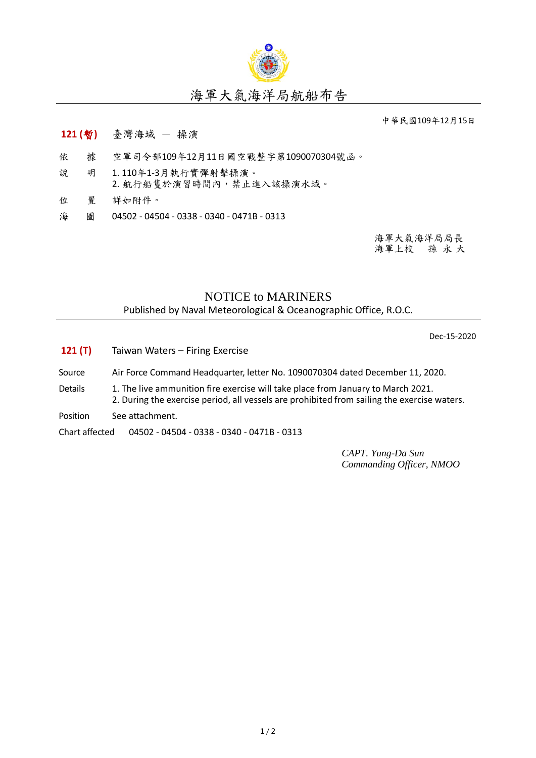

## 海軍大氣海洋局航船布告

中華民國109年12月15日

- **121 (**暫**)** 臺灣海域 操演
- 依 據 空軍司令部109年12月11日國空戰整字第1090070304號函。
- 說 明 1. 110年1-3月執行實彈射擊操演。 2. 航行船隻於演習時間內,禁止進入該操演水域。
- 位 置 詳如附件。
- 海 圖 04502 04504 0338 0340 0471B 0313

海軍大氣海洋局局長 海軍上校 孫 永 大

## NOTICE to MARINERS

Published by Naval Meteorological & Oceanographic Office, R.O.C.

Dec-15-2020

- **121 (T)** Taiwan Waters Firing Exercise
- Source Air Force Command Headquarter, letter No. 1090070304 dated December 11, 2020.
- Details 1. The live ammunition fire exercise will take place from January to March 2021. 2. During the exercise period, all vessels are prohibited from sailing the exercise waters.
- Position See attachment.

Chart affected 04502 - 04504 - 0338 - 0340 - 0471B - 0313

*CAPT. Yung-Da Sun Commanding Officer, NMOO*